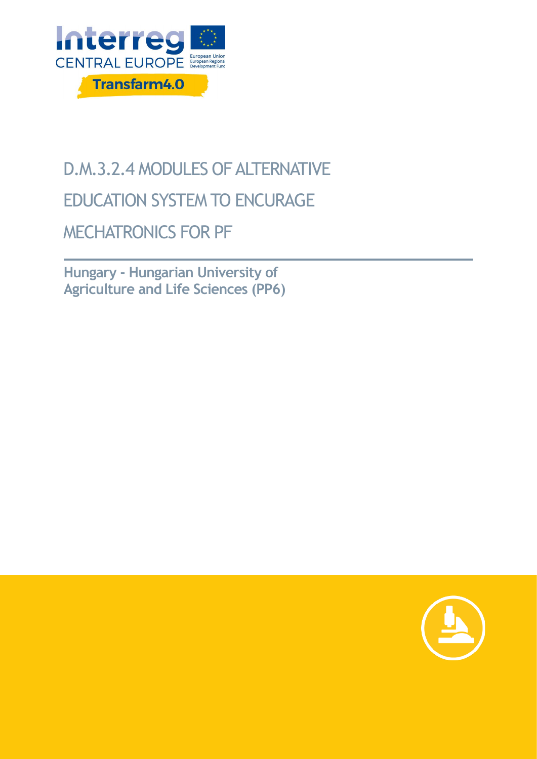

## D.M.3.2.4 MODULES OF ALTERNATIVE EDUCATION SYSTEM TO ENCURAGE MECHATRONICS FOR PF

**Hungary - Hungarian University of Agriculture and Life Sciences (PP6)**

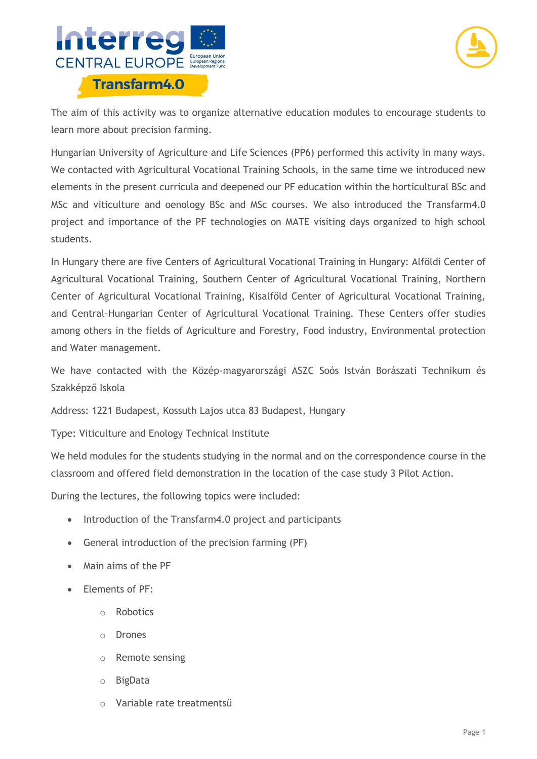



The aim of this activity was to organize alternative education modules to encourage students to learn more about precision farming.

Hungarian University of Agriculture and Life Sciences (PP6) performed this activity in many ways. We contacted with Agricultural Vocational Training Schools, in the same time we introduced new elements in the present curricula and deepened our PF education within the horticultural BSc and MSc and viticulture and oenology BSc and MSc courses. We also introduced the Transfarm4.0 project and importance of the PF technologies on MATE visiting days organized to high school students.

In Hungary there are five Centers of Agricultural Vocational Training in Hungary: Alföldi Center of Agricultural Vocational Training, Southern Center of Agricultural Vocational Training, Northern Center of Agricultural Vocational Training, Kisalföld Center of Agricultural Vocational Training, and Central-Hungarian Center of Agricultural Vocational Training. These Centers offer studies among others in the fields of Agriculture and Forestry, Food industry, Environmental protection and Water management.

We have contacted with the Közép-magyarországi ASZC Soós István Borászati Technikum és Szakképző Iskola

Address: 1221 Budapest, Kossuth Lajos utca 83 Budapest, Hungary

Type: Viticulture and Enology Technical Institute

We held modules for the students studying in the normal and on the correspondence course in the classroom and offered field demonstration in the location of the case study 3 Pilot Action.

During the lectures, the following topics were included:

- Introduction of the Transfarm4.0 project and participants
- General introduction of the precision farming (PF)
- Main aims of the PF
- Elements of PF:
	- o Robotics
	- o Drones
	- o Remote sensing
	- o BigData
	- o Variable rate treatmentsű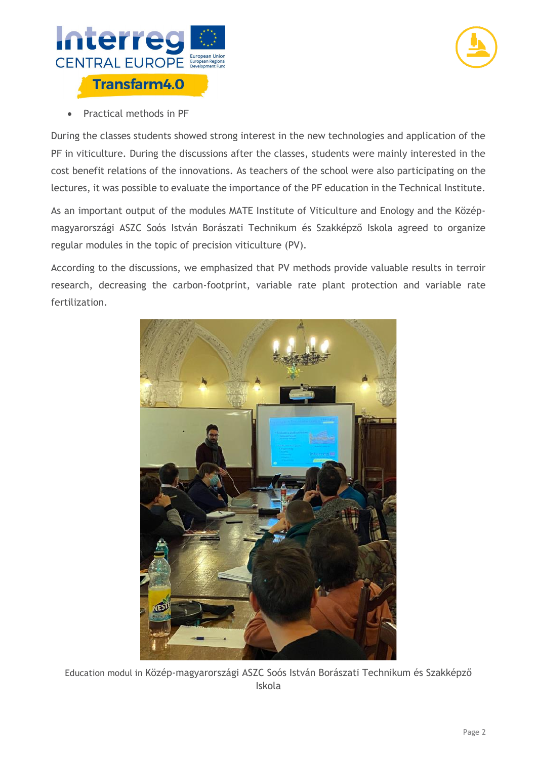



Practical methods in PF

During the classes students showed strong interest in the new technologies and application of the PF in viticulture. During the discussions after the classes, students were mainly interested in the cost benefit relations of the innovations. As teachers of the school were also participating on the lectures, it was possible to evaluate the importance of the PF education in the Technical Institute.

As an important output of the modules MATE Institute of Viticulture and Enology and the Középmagyarországi ASZC Soós István Borászati Technikum és Szakképző Iskola agreed to organize regular modules in the topic of precision viticulture (PV).

According to the discussions, we emphasized that PV methods provide valuable results in terroir research, decreasing the carbon-footprint, variable rate plant protection and variable rate fertilization.



Education modul in Közép-magyarországi ASZC Soós István Borászati Technikum és Szakképző Iskola